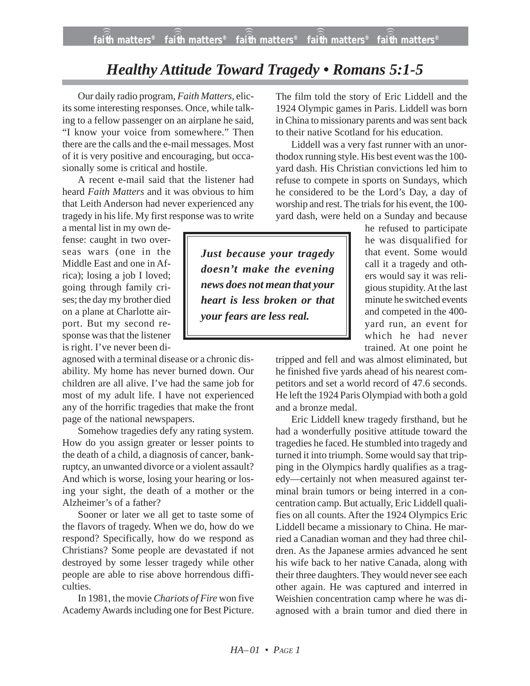## *Healthy Attitude Toward Tragedy • Romans 5:1-5*

Our daily radio program, *Faith Matters,* elicits some interesting responses. Once, while talking to a fellow passenger on an airplane he said, "I know your voice from somewhere." Then there are the calls and the e-mail messages. Most of it is very positive and encouraging, but occasionally some is critical and hostile.

A recent e-mail said that the listener had heard *Faith Matters* and it was obvious to him that Leith Anderson had never experienced any tragedy in his life. My first response was to write

a mental list in my own defense: caught in two overseas wars (one in the Middle East and one in Africa); losing a job I loved; going through family crises; the day my brother died on a plane at Charlotte airport. But my second response was that the listener is right. I've never been di-

agnosed with a terminal disease or a chronic disability. My home has never burned down. Our children are all alive. I've had the same job for most of my adult life. I have not experienced any of the horrific tragedies that make the front page of the national newspapers.

Somehow tragedies defy any rating system. How do you assign greater or lesser points to the death of a child, a diagnosis of cancer, bankruptcy, an unwanted divorce or a violent assault? And which is worse, losing your hearing or losing your sight, the death of a mother or the Alzheimer's of a father?

Sooner or later we all get to taste some of the flavors of tragedy. When we do, how do we respond? Specifically, how do we respond as Christians? Some people are devastated if not destroyed by some lesser tragedy while other people are able to rise above horrendous difficulties.

In 1981, the movie *Chariots of Fire* won five Academy Awards including one for Best Picture. The film told the story of Eric Liddell and the 1924 Olympic games in Paris. Liddell was born in China to missionary parents and was sent back to their native Scotland for his education.

Liddell was a very fast runner with an unorthodox running style. His best event was the 100 yard dash. His Christian convictions led him to refuse to compete in sports on Sundays, which he considered to be the Lord's Day, a day of worship and rest. The trials for his event, the 100 yard dash, were held on a Sunday and because

> he refused to participate he was disqualified for that event. Some would call it a tragedy and others would say it was religious stupidity. At the last minute he switched events and competed in the 400 yard run, an event for which he had never trained. At one point he

tripped and fell and was almost eliminated, but he finished five yards ahead of his nearest competitors and set a world record of 47.6 seconds. He left the 1924 Paris Olympiad with both a gold and a bronze medal.

Eric Liddell knew tragedy firsthand, but he had a wonderfully positive attitude toward the tragedies he faced. He stumbled into tragedy and turned it into triumph. Some would say that tripping in the Olympics hardly qualifies as a tragedy—certainly not when measured against terminal brain tumors or being interred in a concentration camp. But actually, Eric Liddell qualifies on all counts. After the 1924 Olympics Eric Liddell became a missionary to China. He married a Canadian woman and they had three children. As the Japanese armies advanced he sent his wife back to her native Canada, along with their three daughters. They would never see each other again. He was captured and interred in Weishien concentration camp where he was diagnosed with a brain tumor and died there in

*Just because your tragedy doesn't make the evening news does not mean that your heart is less broken or that your fears are less real.*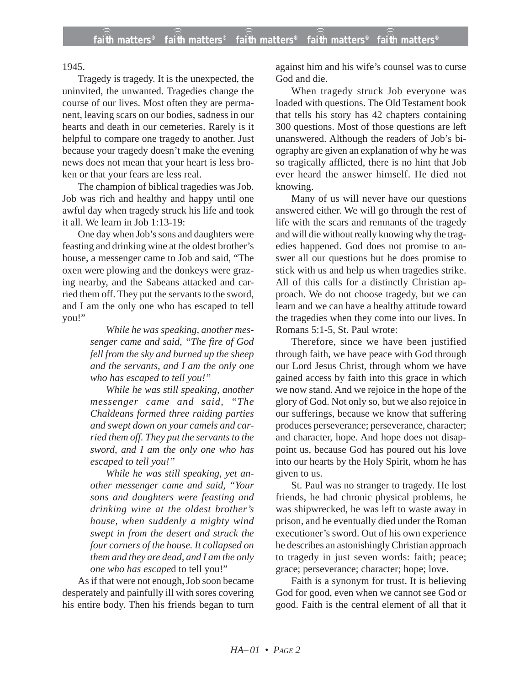1945.

Tragedy is tragedy. It is the unexpected, the uninvited, the unwanted. Tragedies change the course of our lives. Most often they are permanent, leaving scars on our bodies, sadness in our hearts and death in our cemeteries. Rarely is it helpful to compare one tragedy to another. Just because your tragedy doesn't make the evening news does not mean that your heart is less broken or that your fears are less real.

The champion of biblical tragedies was Job. Job was rich and healthy and happy until one awful day when tragedy struck his life and took it all. We learn in Job 1:13-19:

One day when Job's sons and daughters were feasting and drinking wine at the oldest brother's house, a messenger came to Job and said, "The oxen were plowing and the donkeys were grazing nearby, and the Sabeans attacked and carried them off. They put the servants to the sword, and I am the only one who has escaped to tell you!"

> *While he was speaking, another messenger came and said, "The fire of God fell from the sky and burned up the sheep and the servants, and I am the only one who has escaped to tell you!"*

> *While he was still speaking, another messenger came and said, "The Chaldeans formed three raiding parties and swept down on your camels and carried them off. They put the servants to the sword, and I am the only one who has escaped to tell you!"*

> *While he was still speaking, yet another messenger came and said, "Your sons and daughters were feasting and drinking wine at the oldest brother's house, when suddenly a mighty wind swept in from the desert and struck the four corners of the house. It collapsed on them and they are dead, and I am the only one who has escape*d to tell you!"

As if that were not enough, Job soon became desperately and painfully ill with sores covering his entire body. Then his friends began to turn against him and his wife's counsel was to curse God and die.

When tragedy struck Job everyone was loaded with questions. The Old Testament book that tells his story has 42 chapters containing 300 questions. Most of those questions are left unanswered. Although the readers of Job's biography are given an explanation of why he was so tragically afflicted, there is no hint that Job ever heard the answer himself. He died not knowing.

Many of us will never have our questions answered either. We will go through the rest of life with the scars and remnants of the tragedy and will die without really knowing why the tragedies happened. God does not promise to answer all our questions but he does promise to stick with us and help us when tragedies strike. All of this calls for a distinctly Christian approach. We do not choose tragedy, but we can learn and we can have a healthy attitude toward the tragedies when they come into our lives. In Romans 5:1-5, St. Paul wrote:

Therefore, since we have been justified through faith, we have peace with God through our Lord Jesus Christ, through whom we have gained access by faith into this grace in which we now stand. And we rejoice in the hope of the glory of God. Not only so, but we also rejoice in our sufferings, because we know that suffering produces perseverance; perseverance, character; and character, hope. And hope does not disappoint us, because God has poured out his love into our hearts by the Holy Spirit, whom he has given to us.

St. Paul was no stranger to tragedy. He lost friends, he had chronic physical problems, he was shipwrecked, he was left to waste away in prison, and he eventually died under the Roman executioner's sword. Out of his own experience he describes an astonishingly Christian approach to tragedy in just seven words: faith; peace; grace; perseverance; character; hope; love.

Faith is a synonym for trust. It is believing God for good, even when we cannot see God or good. Faith is the central element of all that it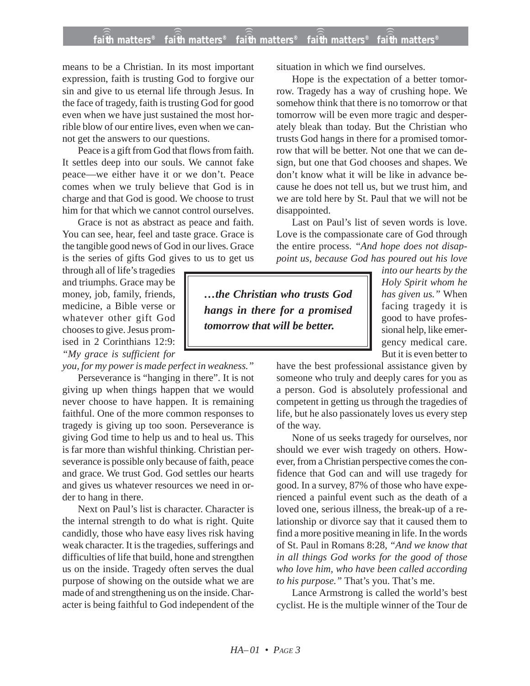## **faith matters® faith matters® faith matters® faith matters® faith matters®** ))) ))) ))) ))) )))

means to be a Christian. In its most important expression, faith is trusting God to forgive our sin and give to us eternal life through Jesus. In the face of tragedy, faith is trusting God for good even when we have just sustained the most horrible blow of our entire lives, even when we cannot get the answers to our questions.

Peace is a gift from God that flows from faith. It settles deep into our souls. We cannot fake peace—we either have it or we don't. Peace comes when we truly believe that God is in charge and that God is good. We choose to trust him for that which we cannot control ourselves.

Grace is not as abstract as peace and faith. You can see, hear, feel and taste grace. Grace is the tangible good news of God in our lives. Grace is the series of gifts God gives to us to get us

through all of life's tragedies and triumphs. Grace may be money, job, family, friends, medicine, a Bible verse or whatever other gift God chooses to give. Jesus promised in 2 Corinthians 12:9: *"My grace is sufficient for*

*you, for my power is made perfect in weakness."*

Perseverance is "hanging in there". It is not giving up when things happen that we would never choose to have happen. It is remaining faithful. One of the more common responses to tragedy is giving up too soon. Perseverance is giving God time to help us and to heal us. This is far more than wishful thinking. Christian perseverance is possible only because of faith, peace and grace. We trust God. God settles our hearts and gives us whatever resources we need in order to hang in there.

Next on Paul's list is character. Character is the internal strength to do what is right. Quite candidly, those who have easy lives risk having weak character. It is the tragedies, sufferings and difficulties of life that build, hone and strengthen us on the inside. Tragedy often serves the dual purpose of showing on the outside what we are made of and strengthening us on the inside. Character is being faithful to God independent of the situation in which we find ourselves.

Hope is the expectation of a better tomorrow. Tragedy has a way of crushing hope. We somehow think that there is no tomorrow or that tomorrow will be even more tragic and desperately bleak than today. But the Christian who trusts God hangs in there for a promised tomorrow that will be better. Not one that we can design, but one that God chooses and shapes. We don't know what it will be like in advance because he does not tell us, but we trust him, and we are told here by St. Paul that we will not be disappointed.

Last on Paul's list of seven words is love. Love is the compassionate care of God through the entire process. *"And hope does not disappoint us, because God has poured out his love*

*…the Christian who trusts God hangs in there for a promised tomorrow that will be better.*

*into our hearts by the Holy Spirit whom he has given us."* When facing tragedy it is good to have professional help, like emergency medical care. But it is even better to

have the best professional assistance given by someone who truly and deeply cares for you as a person. God is absolutely professional and competent in getting us through the tragedies of life, but he also passionately loves us every step of the way.

None of us seeks tragedy for ourselves, nor should we ever wish tragedy on others. However, from a Christian perspective comes the confidence that God can and will use tragedy for good. In a survey, 87% of those who have experienced a painful event such as the death of a loved one, serious illness, the break-up of a relationship or divorce say that it caused them to find a more positive meaning in life. In the words of St. Paul in Romans 8:28, *"And we know that in all things God works for the good of those who love him, who have been called according to his purpose."* That's you. That's me.

Lance Armstrong is called the world's best cyclist. He is the multiple winner of the Tour de